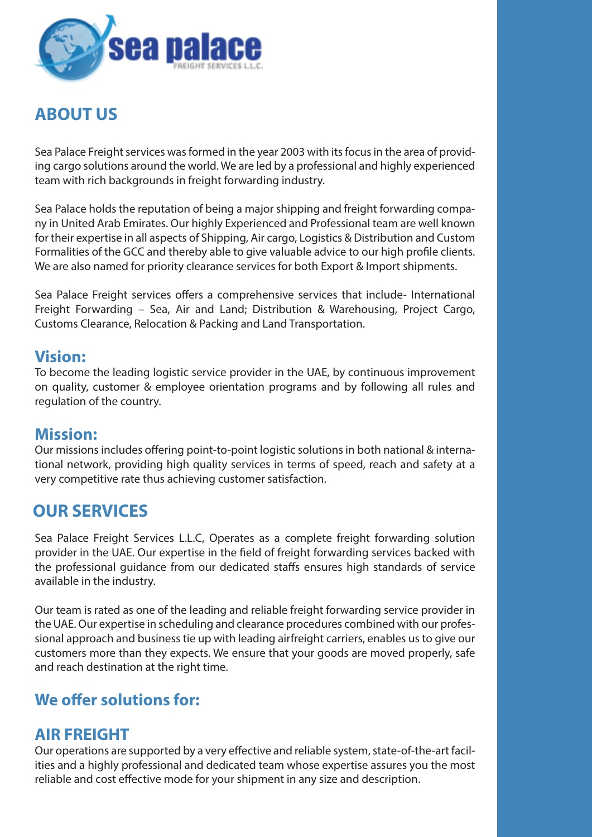

# **ABOUT US**

Sea Palace Freight services was formed in the year 2003 with its focus in the area of providing cargo solutions around the world. We are led by a professional and highly experienced team with rich backgrounds in freight forwarding industry.

Sea Palace holds the reputation of being a major shipping and freight forwarding company in United Arab Emirates. Our highly Experienced and Professional team are well known for their expertise in all aspects of Shipping, Air cargo, Logistics & Distribution and Custom Formalities of the GCC and thereby able to give valuable advice to our high profile clients. We are also named for priority clearance services for both Export & Import shipments.

Sea Palace Freight services offers a comprehensive services that include- International Freight Forwarding – Sea, Air and Land; Distribution & Warehousing, Project Cargo, Customs Clearance, Relocation & Packing and Land Transportation.

#### **Vision:**

To become the leading logistic service provider in the UAE, by continuous improvement on quality, customer & employee orientation programs and by following all rules and regulation of the country.

#### **Mission:**

Our missions includes offering point-to-point logistic solutions in both national & international network, providing high quality services in terms of speed, reach and safety at a very competitive rate thus achieving customer satisfaction.

# **OUR SERVICES**

Sea Palace Freight Services L.L.C, Operates as a complete freight forwarding solution provider in the UAE. Our expertise in the field of freight forwarding services backed with the professional quidance from our dedicated staffs ensures high standards of service available in the industry.

Our team is rated as one of the leading and reliable freight forwarding service provider in the UAE. Our expertise in scheduling and clearance procedures combined with our professional approach and business tie up with leading airfreight carriers, enables us to give our customers more than they expects. We ensure that your goods are moved properly, safe and reach destination at the right time.

# **We offer solutions for:**

#### **AIR FREIGHT**

Our operations are supported by a very effective and reliable system, state-of-the-art facilities and a highly professional and dedicated team whose expertise assures you the most reliable and cost effective mode for your shipment in any size and description.